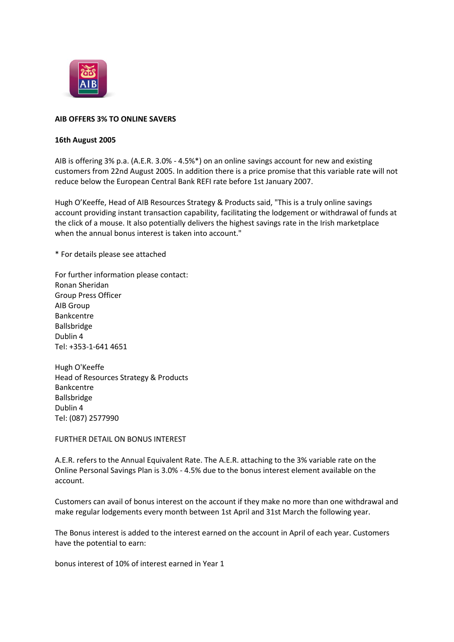

## **AIB OFFERS 3% TO ONLINE SAVERS**

## **16th August 2005**

AIB is offering 3% p.a. (A.E.R. 3.0% - 4.5%\*) on an online savings account for new and existing customers from 22nd August 2005. In addition there is a price promise that this variable rate will not reduce below the European Central Bank REFI rate before 1st January 2007.

Hugh O'Keeffe, Head of AIB Resources Strategy & Products said, "This is a truly online savings account providing instant transaction capability, facilitating the lodgement or withdrawal of funds at the click of a mouse. It also potentially delivers the highest savings rate in the Irish marketplace when the annual bonus interest is taken into account."

\* For details please see attached

For further information please contact: Ronan Sheridan Group Press Officer AIB Group Bankcentre Ballsbridge Dublin 4 Tel: +353-1-641 4651

Hugh O'Keeffe Head of Resources Strategy & Products Bankcentre Ballsbridge Dublin 4 Tel: (087) 2577990

FURTHER DETAIL ON BONUS INTEREST

A.E.R. refers to the Annual Equivalent Rate. The A.E.R. attaching to the 3% variable rate on the Online Personal Savings Plan is 3.0% - 4.5% due to the bonus interest element available on the account.

Customers can avail of bonus interest on the account if they make no more than one withdrawal and make regular lodgements every month between 1st April and 31st March the following year.

The Bonus interest is added to the interest earned on the account in April of each year. Customers have the potential to earn:

bonus interest of 10% of interest earned in Year 1